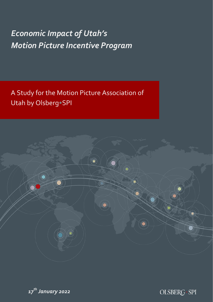# *Economic Impact of Utah's Motion Picture Incentive Program*

A Study for the Motion Picture Association of Utah by Olsberg•SPI





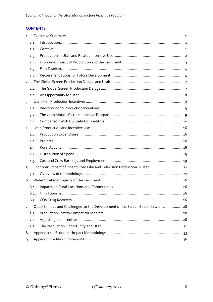# **CONTENTS**

| 1.               |      |                                                                                  |      |
|------------------|------|----------------------------------------------------------------------------------|------|
|                  | 1.1. |                                                                                  |      |
|                  | 1.2. |                                                                                  |      |
|                  | 1.3. |                                                                                  |      |
|                  | 1.4. |                                                                                  |      |
|                  | 1.5. |                                                                                  |      |
|                  | 1.6. |                                                                                  |      |
| 2.               |      |                                                                                  |      |
|                  | 2.1. |                                                                                  |      |
|                  | 2.2. |                                                                                  |      |
| $\overline{3}$ . |      |                                                                                  |      |
|                  | 3.1. |                                                                                  |      |
|                  | 3.2. |                                                                                  |      |
|                  | 3.3. |                                                                                  |      |
| 4.               |      |                                                                                  |      |
|                  | 4.1. |                                                                                  |      |
|                  | 4.2. |                                                                                  |      |
|                  | 4.3. |                                                                                  |      |
|                  | 4.4. |                                                                                  |      |
|                  | 4.5. |                                                                                  |      |
| 5.               |      | Economic Impact of Incentivized Film and Television Production in Utah  21       |      |
|                  | 5.1. |                                                                                  |      |
| 6.               |      |                                                                                  |      |
|                  | 6.1. |                                                                                  |      |
|                  | 6.2. |                                                                                  | . 26 |
|                  | 6.3. |                                                                                  |      |
| 7.               |      | Opportunities and Challenges for the Development of the Screen Sector in Utah 28 |      |
|                  | 7.1. |                                                                                  |      |
|                  | 7.2. |                                                                                  |      |
|                  | 7.3. |                                                                                  |      |
| 8.               |      |                                                                                  |      |
| 9.               |      |                                                                                  |      |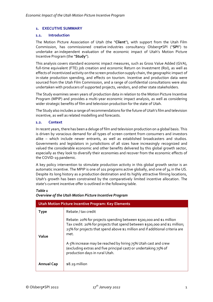## <span id="page-2-0"></span>**1. EXECUTIVE SUMMARY**

#### <span id="page-2-1"></span>**1.1. Introduction**

The Motion Picture Association of Utah (the "**Client**"), with support from the Utah Film Commission, has commissioned creative industries consultancy Olsberg•SPI ("**SPI**") to undertake an independent evaluation of the economic impact of Utah's Motion Picture Incentive Program (the "**Study**").

This analysis covers standard economic impact measures, such as Gross Value Added (GVA), full-time equivalent (FTE) job creation and economic Return on Investment (RoI), as well as effects of incentivized activity on the screen production supply chain, the geographic impact of in-state production spending, and effects on tourism. Incentive and production data were sourced from the Utah Film Commission, and a range of confidential consultations were also undertaken with producers of supported projects, vendors, and other state stakeholders.

The Study examines seven years of production data in relation to the Motion Picture Incentive Program (MPIP) and provides a multi-year economic impact analysis, as well as considering wider strategic benefits of film and television production for the state of Utah.

The Study also includes a range of recommendations for the future of Utah's film and television incentive, as well as related modelling and forecasts.

## <span id="page-2-2"></span>**1.2. Context**

In recent years, there has been a deluge of film and television production on a global basis. This is driven by voracious demand for all types of screen content from consumers and investors alike – which include newer entrants, as well as established broadcasters and studios. Governments and legislators in jurisdictions of all sizes have increasingly recognized and valued the considerable economic and other benefits delivered by this global growth sector, especially as they look to diversify their economies and recover from the economic effects of the COVID-19 pandemic.

A key policy intervention to stimulate production activity in this global growth sector is an automatic incentive. The MPIP is one of 101 programs active globally, and one of 34 in the US. Despite its long history as a production destination and its highly attractive filming locations, Utah's growth has been constrained by the comparatively limited incentive allocation. The state's current incentive offer is outlined in the following table.

# *Table 1*

| Overview of the Utah Motion Picture Incentive Program |  |
|-------------------------------------------------------|--|
|-------------------------------------------------------|--|

| Utah Motion Picture Incentive Program: Key Elements |                                                                                                                                                                                                                                           |  |  |  |  |  |
|-----------------------------------------------------|-------------------------------------------------------------------------------------------------------------------------------------------------------------------------------------------------------------------------------------------|--|--|--|--|--|
| <b>Type</b>                                         | Rebate / tax credit                                                                                                                                                                                                                       |  |  |  |  |  |
| Value                                               | Rebate: 20% for projects spending between \$500,000 and \$1 million<br>Tax credit: 20% for projects that spend between \$500,000 and \$1 million;<br>25% for projects that spend above \$1 million and if additional criteria are<br>met. |  |  |  |  |  |
|                                                     | A 5% increase may be reached by hiring 75% Utah cast and crew<br>(excluding extras and five principal cast) or undertaking 75% of<br>production days in rural Utah.                                                                       |  |  |  |  |  |
| <b>Annual Cap</b>                                   | $$8.29$ million                                                                                                                                                                                                                           |  |  |  |  |  |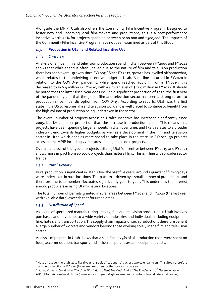Alongside the MPIP, Utah also offers the Community Film Incentive Program. Designed to foster new and upcoming local film-makers and productions, this is a post-performance incentive worth 20% for projects spending between \$100,000 and \$500,000. The impacts of the Community Film Incentive Program have not been examined as part of this Study.

# <span id="page-3-0"></span>**1.3. Production in Utah and Related Incentive Use**

# *1.3.1. Overview*

Analysis of annual film and television production spend in Utah between FY2005 and FY2021 shows that while spend is often uneven due to the nature of film and television production there has been overall growth since FY2005. $^1$  Since FY2017, growth has levelled off somewhat, which relates to the underlying incentive budget in Utah. A decline occurred in FY2020 in relation to the COVID-19 pandemic: while spend reached \$64.0 million in FY2019, this decreased to \$46.9 million in FY2020, with a similar level of \$47.9 million in FY2021. It should be noted that the latter fiscal year does include a significant proportion of 2020, the first year of the pandemic, and that the global film and television sector has seen a strong return to production since initial disruption from COVID-19. According to reports, Utah was the first state in the US to resume film and television work and is well placed to continue to benefit from the high volume of production being undertaken in the sector. $^2$ 

The overall number of projects accessing Utah's incentive has increased significantly since 2005, but by a smaller proportion than the increase in production spend. This means that projects have been spending larger amounts in Utah over time, and likely relates to a broader industry trend towards higher budgets, as well as a development in the film and television sector in Utah which enables more spend to take place in the state. In FY2021, 30 projects accessed the MPIP including 22 features and eight episodic projects.

Overall, analysis of the type of projects utilizing Utah's incentive between FY2019 and FY2021 shows more impact from episodic projects than feature films. This is in line with broader sector trends.

## *1.3.2. Rural Activity*

Rural production is significant in Utah. Over the past five years, around a quarter of filming days were undertaken in rural locations. This pattern is driven by a small number of productions and therefore the total number fluctuates significantly year to year. This underlines the interest among producers in using Utah's natural locations.

The total number of permits granted in rural areas between FY2017 and FY2020 (the last year with available data) exceeds that for urban areas.

## *1.3.3. Distribution of Spend*

As a kind of specialized manufacturing activity, film and television production in Utah involves purchases and payments to a wide variety of industries and individuals including equipment hire, hotels and transportation. The supply chain impacts of such productions therefore benefit a large number of workers and vendors beyond those working solely in the film and television sector.

Analysis of projects in Utah shows that a significant 29% of all production costs were spent on food, accommodation, transport, and incidental purchases and equipment costs.

<sup>&</sup>lt;sup>1</sup> Note on usage: the Utah state fiscal year runs July 1<sup>st</sup> to June 30<sup>th</sup>, across two calendar years. This Study therefore uses the convention of FY2005 (for example) to denote the 2004-05 fiscal year

<sup>2</sup> *Lights, Camera, Covid: How The Utah Film Industry Beat The Odds Amidst The Pandemic. 19th December 2020.* ABC4 Utah. Accessible at: https://www.abc4.com/news/lights-camera-covid-utah-film-industry-on-the-rise/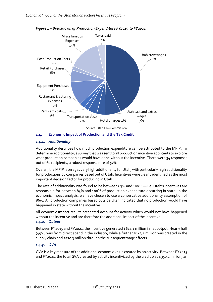

*Figure 1 – Breakdown of Production Expenditure FY2019 to FY2021*

## <span id="page-4-0"></span>**1.4. Economic Impact of Production and the Tax Credit**

## *1.4.1. Additionality*

Additionality describes how much production expenditure can be attributed to the MPIP. To determine additionality, a survey that was sent to all production incentive applicants to explore what production companies would have done without the incentive. There were 34 responses out of 60 recipients, a robust response rate of 57%.

Overall, the MPIP leverages very high additionality for Utah, with particularly high additionality for productions by companies based out of Utah. Incentives were clearly identified as the most important decision factor for producing in Utah.

The rate of additionality was found to be between 83% and 100% — i.e. Utah's incentives are responsible for between 83% and 100% of production expenditure occurring in state. In the economic impact analysis, we have chosen to use a conservative additionality assumption of 86%. All production companies based outside Utah indicated that no production would have happened in state without the incentive.

All economic impact results presented account for activity which would not have happened without the incentive and are therefore the additional impact of the incentive.

#### *1.4.2. Output*

Between FY2015 and FY2021, the incentive generated \$614.1 million in net output. Nearly half (49%) was from direct spend in the industry, while a further \$143.1 million was created in the supply chain and \$170.3 million through the subsequent wage effects.

## *1.4.3. GVA*

GVA is a key measure of the additional economic value created by an activity. Between FY2015 and FY2021, the total GVA created by activity incentivized by the credit was \$350.1 million, an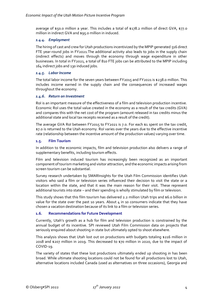average of \$50.0 million a year. This includes a total of \$178.2 million of direct GVA, \$77.0 million in indirect GVA and \$95.0 million in induced.

## *1.4.4. Employment*

The hiring of cast and crew for Utah productions incentivized by the MPIP generated 516 direct FTE year-round jobs in FY2021.The additional activity also leads to jobs in the supply chain (indirect effects) and moves through the economy through wage expenditure in other businesses. In total in FY2021, a total of 810 FTE jobs can be attributed to the MPIP including 164 indirect jobs and 130 induced jobs.

# *1.4.5. Labor Income*

The total labor income for the seven years between FY2015 and FY2021 is \$238.0 million. This includes income earned in the supply chain and the consequences of increased wages throughout the economy.

## *1.4.6. Return on Investment*

RoI is an important measure of the effectiveness of a film and television production incentive. Economic RoI uses the total value created in the economy as a result of the tax credits (GVA) and compares this with the net cost of the program (amount released in tax credits minus the additional state and local tax receipts received as a result of the credit).

The average GVA RoI between FY2015 to FY2021 is 7.0. For each \$1 spent on the tax credit, \$7.0 is returned to the Utah economy. RoI varies over the years due to the effective incentive rate (relationship between the incentive amount of the production values) varying over time.

## <span id="page-5-0"></span>**1.5. Film Tourism**

In addition to the economic impacts, film and television production also delivers a range of supplementary benefits, including tourism effects.

Film and television induced tourism has increasingly been recognized as an important component of tourism marketing and visitor attraction, and the economic impacts arising from screen tourism can be substantial.

Survey research undertaken by SMARInsights for the Utah Film Commission identifies Utah visitors who said a film or television series influenced their decision to visit the state or a location within the state, and that it was the main reason for their visit. These represent additional tourists into state – and their spending is wholly stimulated by film or television.

This study shows that this film tourism has delivered 2.2 million Utah trips and \$6.0 billion in value for the state over the past 10 years. About  $4$  in 10 consumers indicate that they have chosen a vacation destination because of its link to a film or television series.

## <span id="page-5-1"></span>**1.6. Recommendations for Future Development**

Currently, Utah's growth as a hub for film and television production is constrained by the annual budget of its incentive. SPI reviewed Utah Film Commission data on projects that seriously enquired about shooting in state but ultimately opted to shoot elsewhere.

This analysis shows that Utah lost out on productions with budgets totaling \$216 million in 2018 and \$207 million in 2019. This decreased to \$70 million in 2020, due to the impact of COVID-19.

The variety of states that these lost productions ultimately ended up shooting in has been broad. While ultimate shooting locations could not be found for all productions lost to Utah, alternative locations included Canada (used as alternatives on three occasions), Georgia and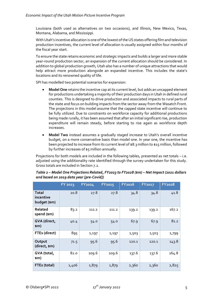Louisiana (both used as alternatives on two occasions), and Illinois, New Mexico, Texas, Montana, Alabama, and Mississippi.

With Utah's incentive allocation is one of the lowest of the US states offering film and television production incentives, the current level of allocation is usually assigned within four months of the fiscal year start.

To ensure the state retains economic and strategic impacts and builds a larger and more stable year-round production sector, an expansion of the current allocation should be considered. In addition to global production growth, Utah also has a number of unique attractions that would help attract more production alongside an expanded incentive. This includes the state's locations and its renowned quality of life.

SPI has modelled two potential scenarios for expansion:

- **Model One** retains the incentive cap at its current level, but adds an uncapped element for productions undertaking a majority of their production days in Utah in defined rural counties. This is designed to drive production and associated impacts to rural parts of the state and focus on building impacts from the sector away from the Wasatch Front. The projections in this model assume that the capped state incentive will continue to be fully utilized. Due to constraints on workforce capacity for additional productions being made rurally, it has been assumed that after an initial significant rise, production expenditure will remain steady, before starting to rise again as workforce depth increases.
- **Model Two** instead assumes a gradually staged increase to Utah's overall incentive budget, on a more conservative basis than model one. In year one, the incentive has been projected to increase from its current level of \$8.3 million to \$15 million, followed by further increases of \$5 million annually.

Projections for both models are included in the following tables, presented as net totals – i.e. adjusted using the additionality rate identified through the survey undertaken for this study. Gross totals are included in Section 7.2.

|                                           | <b>FY 2023</b> | FY2024 | <b>FY2025</b> | <b>FY2026</b> | <b>FY2027</b> | <b>FY2028</b> |
|-------------------------------------------|----------------|--------|---------------|---------------|---------------|---------------|
| <b>Total</b><br>incentive<br>budget (\$m) | 20.8           | 27.8   | 27.8          | 34.8          | 34.8          | 41.8          |
| Related<br>spend (\$m)                    | 83.2           | 111.2  | 111.2         | 139.2         | 139.2         | 167.2         |
| GVA (direct,<br>\$m)                      | 40.4           | 54.0   | 54.0          | 67.9          | 67.9          | 81.2          |
| FTEs (direct)                             | 895            | 1,197  | 1,197         | 1,503         | 1,503         | 1,799         |
| Output<br>(direct, \$m)                   | 71.5           | 95.6   | 95.6          | 120.1         | 120.1         | 143.8         |
| GVA (total,<br>\$m)                       | 82.0           | 109.6  | 109.6         | 137.6         | 137.6         | 164.8         |
| FTEs (total)                              | 1,406          | 1,879  | 1,879         | 2,360         | 2,360         | 2,825         |

*Table 2 – Model One Projections Related, FY2023 to FY2028 (\$m) – Net Impact (2021 dollars and based on 2019 data year [pre-Covid])*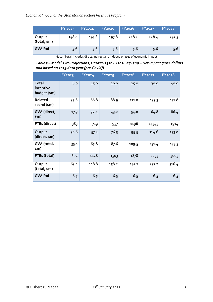|                       | <b>FY 2023</b> | <b>FY2024</b> | <b>FY2025</b> | <b>FY2026</b> | <b>FY2027</b> | <b>FY2028</b> |
|-----------------------|----------------|---------------|---------------|---------------|---------------|---------------|
| Output<br>(total, sm) | 148.0          | 197.8         | 197.8         | 248.4         | 248.4         | 297.5         |
| <b>GVA Rol</b>        | 5.6            | 5.6           | 5.6           | 5.6           | 5.6           | 5.6           |

Note: 'Total' includes direct, indirect and induced phases of economic impact

*Table 3 – Model Two Projections, FY2022-23 to FY2026-27 (\$m) – Net Impact (2021 dollars and based on 2019 data year [pre-Covid])*

|                                           | <b>FY2023</b> | FY2024 | <b>FY2025</b> | <b>FY2026</b> | <b>FY2027</b> | <b>FY2028</b> |
|-------------------------------------------|---------------|--------|---------------|---------------|---------------|---------------|
| <b>Total</b><br>incentive<br>budget (\$m) | 8.0           | 15.0   | 20.0          | 25.0          | 30.0          | 40.0          |
| Related<br>spend (\$m)                    | 35.6          | 66.8   | 88.9          | 111.0         | 133.3         | 177.8         |
| GVA (direct,<br>\$m)                      | 17.3          | 32.4   | 43.2          | 54.0          | 64.8          | 86.4          |
| FTEs (direct)                             | 383           | 719    | 957           | 1196          | 14345         | 1914          |
| Output<br>(direct, \$m)                   | 30.6          | 57.4   | 76.5          | 95.5          | 114.6         | 153.0         |
| GVA (total,<br>\$M)                       | 35.1          | 65.8   | 87.6          | 109.5         | 131.4         | 175.3         |
| FTEs (total)                              | 602           | 1128   | 1503          | 1878          | 2253          | 3005          |
| Output<br>(total, \$m)                    | 63.4          | 118.8  | 158.2         | 197.7         | 237.2         | 316.4         |
| <b>GVA Rol</b>                            | 6.5           | 6.5    | 6.5           | 6.5           | 6.5           | 6.5           |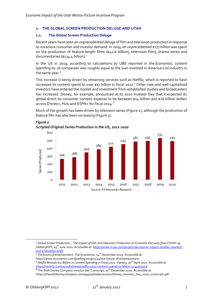## <span id="page-8-0"></span>**2. THE GLOBAL SCREEN PRODUCTION DELUGE AND UTAH**

### <span id="page-8-1"></span>**2.1. The Global Screen Production Deluge**

Recent years have seen an unprecedented deluge of film and television production in response to voracious consumer and investor demand. In 2019, an unprecedented \$177 billion was spent on the production of feature-length films (\$42.6 billion), television films, drama series and documentaries (\$134.4 billion).<sup>3</sup>

In the US in 2019, according to calculations by UBS reported in the *Economist*, content spending by 16 companies was roughly equal to the sum invested in America's oil industry in the same year.<sup>4</sup>

This increase is being driven by streaming services such as Netflix, which is reported to have increased its content spend to over \$17 billion in fiscal 2021.<sup>5</sup> Other new and well capitalized investors have entered the market and investment from established studios and broadcasters has increased. Disney, for example, announced at its 2020 Investor Day that it expected its global direct-to-consumer content expense to be between \$14 billion and \$16 billion dollars across Disney+, Hulu and ESPN+ for fiscal 2024.<sup>6</sup>

Much of the growth has been driven by television series [\(Figure 2\)](#page-8-2), although the production of feature film has also been increasing [\(Figure 3\)](#page-9-1).



#### <span id="page-8-2"></span>*Figure 2 Scripted Original Series Production in the US, 2011-2020*

<sup>3</sup> *Global Screen Production – The Impact of Film and Television Production on Economic Recovery from COVID-19*. Olsberg•SPI, 25<sup>th</sup> June 2021. Accessible at[: https://www.o-spi.com/projects/economic-impact-studies-research](https://www.o-spi.com/projects/economic-impact-studies-research-and-evaluation-ly9lh)[and-evaluation-ly9lh](https://www.o-spi.com/projects/economic-impact-studies-research-and-evaluation-ly9lh)

<sup>&</sup>lt;sup>4</sup> The future of entertainment. The Economist, 14<sup>th</sup> November 2019. Accessible at:

https://www.economist.com/briefing/2019/11/14/the-future-of-entertainment

*<sup>5</sup> Netflix Reveals \$17 Billion in Content Spending in Fiscal 2021*. Variety, 20th April 2021. Accessible at: <https://variety.com/2021/tv/news/netflix-2021-content-spend-17-billion-1234955953/>

**<sup>6</sup>** The Walt Disney Company investor day Transcript, 10<sup>th</sup> December 2020. Accessible at: https://thewaltdisneycompany.com/app/uploads/2020/12/Disney\_Investor\_Day\_2020\_transcript.pdf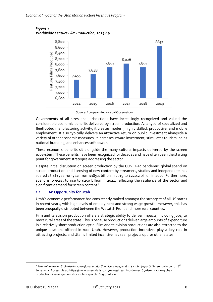

<span id="page-9-1"></span>*Figure 3 Worldwide Feature Film Production, 2014-19*

Source: European Audiovisual Observatory

Governments of all sizes and jurisdictions have increasingly recognized and valued the considerable economic benefits delivered by screen production. As a type of specialized and fleetfooted manufacturing activity, it creates modern, highly skilled, productive, and mobile employment. It also typically delivers an attractive return on public investment alongside a variety of other economic measures. It increases inward investment, stimulates tourism, helps national branding, and enhances soft power.

These economic benefits sit alongside the many cultural impacts delivered by the screen ecosystem. These benefits have been recognized for decades and have often been the starting point for government strategies addressing the sector.

Despite initial disruption on screen production by the COVID-19 pandemic, global spend on screen production and licensing of new content by streamers, studios and independents has soared 16.4% year-on-year from \$189.1 billion in 2019 to \$220.2 billion in 2020. Furthermore, spend is forecast to rise to \$250 billion in 2021, reflecting the resilience of the sector and significant demand for screen content.<sup>7</sup>

## <span id="page-9-0"></span>**2.2. An Opportunity for Utah**

Utah's economic performance has consistently ranked amongst the strongest of all US states in recent years, with high levels of employment and strong wage growth. However, this has been unequally distributed between the Wasatch Front and more rural counties.

Film and television production offers a strategic ability to deliver impacts, including jobs, to more rural areas of the state. This is because productions deliver large amounts of expenditure in a relatively short production cycle. Film and television productions are also attracted to the unique locations offered in rural Utah. However, production incentives play a key role in attracting projects, and Utah's limited incentive has seen projects opt for other states.

<sup>&</sup>lt;sup>7</sup> Streaming drove 16.4% rise in 2020 global production, licensing spend to \$220bn (report). Screendaily.com, 28<sup>th</sup> June 2021. Accessible at: https://www.screendaily.com/news/streaming-drove-164-rise-in-2020-globalproduction-licensing-spend-to-220bn-report/5160937.article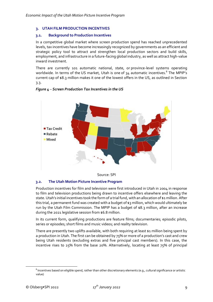## <span id="page-10-0"></span>**3. UTAH FILM PRODUCTION INCENTIVES**

## <span id="page-10-1"></span>**3.1. Background to Production Incentives**

In a competitive global market where screen production spend has reached unprecedented levels, tax incentives have become increasingly recognized by governments as an efficient and strategic policy tool to attract and strengthen local production sectors and build skills, employment, and infrastructure in a future-facing global industry, as well as attract high-value inward investment.

There are currently 101 automatic national, state, or province-level systems operating worldwide. In terms of the US market, Utah is one of 34 automatic incentives.<sup>8</sup> The MPIP's current cap of \$8.3 million makes it one of the lowest offers in the US, as outlined in Section [3.3.](#page-11-0)

## *Figure 4* – *Screen Production Tax Incentives in the US*





## <span id="page-10-2"></span>**3.2. The Utah Motion Picture Incentive Program**

Production incentives for film and television were first introduced in Utah in 2004 in response to film and television productions being drawn to incentive offers elsewhere and leaving the state. Utah's initial incentives took the form of a trial fund, with an allocation of \$1 million. After this trial, a permanent fund was created with a budget of \$3 million, which would ultimately be run by the Utah Film Commission. The MPIP has a budget of \$8.3 million, after an increase during the 2021 legislative session from \$6.8 million.

In its current form, qualifying productions are feature films; documentaries; episodic pilots, series or episodes; short films and music videos; and reality television.

There are presently two uplifts available, with both requiring at least \$1 million being spent by a production in Utah. The first can be obtained by 75% or more of a production's cast and crew being Utah residents (excluding extras and five principal cast members). In this case, the incentive rises to 25% from the base 20%. Alternatively, locating at least 75% of principal

 $^8$  Incentives based on eligible spend, rather than other discretionary elements (e.g., cultural significance or artistic value)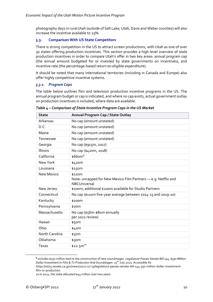photography days in rural Utah (outside of Salt Lake, Utah, Davis and Weber counties) will also increase the incentive available to 25%.

# <span id="page-11-0"></span>**3.3. Comparison With US State Competitors**

There is strong competition in the US to attract screen productions, with Utah as one of over 30 states offering production incentives. This section provides a high-level overview of state production incentives in order to compare Utah's offer in two key areas: annual program cap (the annual amount budgeted for or invested by state governments on incentives), and incentive rate (the percentage-based return on eligible expenditure).

It should be noted that many international territories (including in Canada and Europe) also offer highly competitive incentive systems.

## *3.3.1. Program Caps*

The table below outlines film and television production incentive programs in the US. The annual program budget or cap is indicated, and where no cap exists, actual government outlay on production incentives is included, where data are available.

| <b>State</b>      | Annual Program Cap / State Outlay                                                               |
|-------------------|-------------------------------------------------------------------------------------------------|
| Arkansas          | No cap (amount unstated)                                                                        |
| D.C.              | No cap (amount unstated)                                                                        |
| Maine             | No cap (amount unstated)                                                                        |
| Tennessee         | No cap (amount unstated)                                                                        |
| Georgia           | No cap (\$915m, 2017)                                                                           |
| Illinois          | No cap (\$420m, 2018)                                                                           |
| California        | $$66$ om <sup>9</sup>                                                                           |
| New York          | \$420m                                                                                          |
| Louisiana         | \$150m                                                                                          |
| <b>New Mexico</b> | \$110m<br>Note: uncapped for New Mexico Film Partners - e.g. Netflix and<br><b>NBCUniversal</b> |
| New Jersey        | \$100m; additional €200m available for Studio Partners                                          |
| Connecticut       | No cap (\$110m five-year average between 2014-15 and 2019-20)                                   |
| Kentucky          | \$100m                                                                                          |
| Pennsylvania      | \$70m                                                                                           |
| Massachusetts     | No cap (\$56m-\$80m annually<br>per 2021 review)                                                |
| Hawaii            | \$50m                                                                                           |
| Ohio              | \$40m                                                                                           |
| North Carolina    | \$31m                                                                                           |
| Oklahoma          | \$30m                                                                                           |
| Texas             | $$22.5m^{10}$                                                                                   |

*Table 4 – Comparison of State Incentive Program Caps in the US Market*

**<sup>9</sup>** includes \$150 million tied to the construction of new soundstages. *Legislature Passes Senate Bill 144, \$330 Million Dollar Investment In Film & Tv Production And Soundstages*. 15th July 2021. Accessible At:

https://sd25.senate.ca.gov/news/2021-07-15/legislature-passes-senate-bill-144-330-million-dollar-investmentfilm-tv-production

<sup>10</sup> In 2021, the state allocated \$45 million over two years.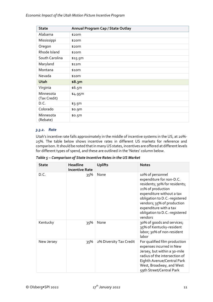| <b>State</b>              | Annual Program Cap / State Outlay |
|---------------------------|-----------------------------------|
| Alabama                   | \$20m                             |
| Mississippi               | \$20m                             |
| Oregon                    | \$20m                             |
| Rhode Island              | \$20m                             |
| South Carolina            | \$15.5m                           |
| Maryland                  | \$12m                             |
| Montana                   | \$10 <sub>m</sub>                 |
| Nevada                    | \$10 <sub>m</sub>                 |
| Utah                      | \$8.3m                            |
| Virginia                  | \$6.5m                            |
| Minnesota<br>(Tax Credit) | \$4.95m                           |
| D.C.                      | \$3.5m                            |
| Colorado                  | \$0.9m                            |
| Minnesota<br>(Rebate)     | \$0.5m                            |

# *3.3.2. Rate*

Utah's incentive rate falls approximately in the middle of incentive systems in the US, at 20%- 25%. The table below shows incentive rates in different US markets for reference and comparison. It should be noted that in many US states, incentives are offered at different levels for different types of spend, and these are outlined in the 'Notes' column below.

*Table 5 – Comparison of State Incentive Rates in the US Market*

| <b>State</b> | Headline<br><b>Incentive Rate</b> | <b>Uplifts</b>          | <b>Notes</b>                                                                                                                                                                                                                                                         |
|--------------|-----------------------------------|-------------------------|----------------------------------------------------------------------------------------------------------------------------------------------------------------------------------------------------------------------------------------------------------------------|
| D.C.         | 35%                               | None                    | 10% of personnel<br>expenditure for non-D.C.<br>residents; 30% for residents;<br>21% of production<br>expenditure without a tax<br>obligation to D.C.-registered<br>vendors; 35% of production<br>expenditure with a tax<br>obligation to D.C.-registered<br>vendors |
| Kentucky     | 35%                               | None                    | 30% of goods and services;<br>35% of Kentucky-resident<br>labor; 30% of non-resident<br>labor                                                                                                                                                                        |
| New Jersey   | 35%                               | 2% Diversity Tax Credit | For qualified film production<br>expenses incurred in New<br>Jersey, but within a 30-mile<br>radius of the intersection of<br>Eighth Avenue/Central Park<br>West, Broadway, and West<br>59th Street/Central Park                                                     |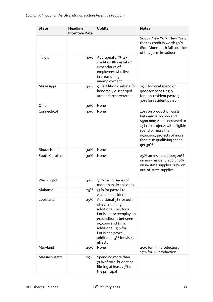| <b>State</b>   | <b>Headline</b><br><b>Incentive Rate</b> | <b>Uplifts</b>                                                                                                                                                                                                                 | <b>Notes</b>                                                                                                                                                                                                     |
|----------------|------------------------------------------|--------------------------------------------------------------------------------------------------------------------------------------------------------------------------------------------------------------------------------|------------------------------------------------------------------------------------------------------------------------------------------------------------------------------------------------------------------|
|                |                                          |                                                                                                                                                                                                                                | South, New York, New York,<br>the tax credit is worth 30%<br>(Fort Monmouth falls outside<br>of this 30-mile radius)                                                                                             |
| Illinois       | 30%                                      | Additional 15% tax<br>credit on Illinois labor<br>expenditure of<br>employees who live<br>in areas of high<br>unemployment                                                                                                     |                                                                                                                                                                                                                  |
| Mississippi    | 30%                                      | 5% additional rebate for<br>honorably discharged<br>armed forces veterans                                                                                                                                                      | 25% for local spend on<br>goods/services; 25%<br>for non-resident payroll;<br>30% for resident payroll                                                                                                           |
| Ohio           | 30%                                      | None                                                                                                                                                                                                                           |                                                                                                                                                                                                                  |
| Connecticut    | 30%                                      | None                                                                                                                                                                                                                           | 10% on production costs<br>between \$100,000 and<br>\$500,000; value increased to<br>15% on projects with eligible<br>spend of more than<br>\$500,000; projects of more<br>than \$1m qualifying spend<br>get 30% |
| Rhode Island   | 30%                                      | None                                                                                                                                                                                                                           |                                                                                                                                                                                                                  |
| South Carolina | 30%                                      | None                                                                                                                                                                                                                           | 25% on resident labor; 20%<br>on non-resident labor; 30%<br>on in-state supplies; 25% on<br>out-of-state supplies                                                                                                |
| Washington     | 30%                                      | 35% for TV series of<br>more than six episodes                                                                                                                                                                                 |                                                                                                                                                                                                                  |
| Alabama        | 25%                                      | 35% for payroll to<br>Alabama residents                                                                                                                                                                                        |                                                                                                                                                                                                                  |
| Louisiana      | 25%                                      | Additional 5% for out-<br>of-zone filming;<br>additional 10% for a<br>Louisiana screenplay on<br>expenditures between<br>\$50,000 and \$5m;<br>additional 15% for<br>Louisiana payroll;<br>additional 5% for visual<br>effects |                                                                                                                                                                                                                  |
| Maryland       | 25%                                      | None                                                                                                                                                                                                                           | 25% for film production;<br>27% for TV production                                                                                                                                                                |
| Massachusetts  | 25%                                      | Spending more than<br>75% of total budget or<br>filming at least 75% of<br>the principal                                                                                                                                       |                                                                                                                                                                                                                  |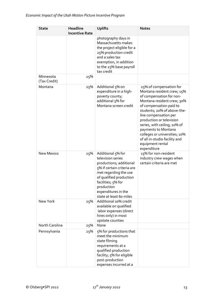| <b>State</b>              | <b>Headline</b><br><b>Incentive Rate</b> | <b>Uplifts</b>                                                                                                                                                                                                                            | <b>Notes</b>                                                                                                                                                                                                                                                                                                                                                                               |
|---------------------------|------------------------------------------|-------------------------------------------------------------------------------------------------------------------------------------------------------------------------------------------------------------------------------------------|--------------------------------------------------------------------------------------------------------------------------------------------------------------------------------------------------------------------------------------------------------------------------------------------------------------------------------------------------------------------------------------------|
|                           |                                          | photography days in<br>Massachusetts makes<br>the project eligible for a<br>25% production credit<br>and a sales tax<br>exemption, in addition<br>to the 25% base payroll<br>tax credit                                                   |                                                                                                                                                                                                                                                                                                                                                                                            |
| Minnesota<br>(Tax Credit) | 25%                                      |                                                                                                                                                                                                                                           |                                                                                                                                                                                                                                                                                                                                                                                            |
| Montana                   | 25%                                      | Additional 5% on<br>expenditure in a high-<br>poverty county;<br>additional 5% for<br>Montana screen credit                                                                                                                               | 25% of compensation for<br>Montana resident crew; 15%<br>of compensation for non-<br>Montana resident crew; 30%<br>of compensation paid to<br>students; 20% of above-the-<br>line compensation per<br>production or television<br>series, with ceiling, 10% of<br>payments to Montana<br>colleges or universities; 10%<br>of all in-studio facility and<br>equipment rental<br>expenditure |
| <b>New Mexico</b>         | 25%                                      | Additional 5% for<br>television series<br>productions; additional<br>5% if certain criteria are<br>met regarding the use<br>of qualified production<br>facilities; 5% for<br>production<br>expenditures in the<br>state at least 60 miles | 15% for non-resident<br>industry crew wages when<br>certain criteria are met                                                                                                                                                                                                                                                                                                               |
| New York                  | 25%                                      | Additional 10% credit<br>available on qualified<br>labor expenses (direct<br>hires only) in most<br>upstate counties                                                                                                                      |                                                                                                                                                                                                                                                                                                                                                                                            |
| North Carolina            | 25%                                      | None                                                                                                                                                                                                                                      |                                                                                                                                                                                                                                                                                                                                                                                            |
| Pennsylvania              | 25%                                      | 5% for productions that<br>meet the minimum<br>state filming<br>requirements at a<br>qualified production<br>facility; 5% for eligible<br>post-production<br>expenses incurred at a                                                       |                                                                                                                                                                                                                                                                                                                                                                                            |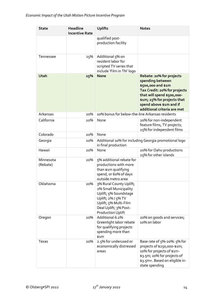| <b>State</b>          | <b>Headline</b><br><b>Incentive Rate</b> | <b>Uplifts</b>                                                                                                                                                                | <b>Notes</b>                                                                                                                                                                                                              |
|-----------------------|------------------------------------------|-------------------------------------------------------------------------------------------------------------------------------------------------------------------------------|---------------------------------------------------------------------------------------------------------------------------------------------------------------------------------------------------------------------------|
|                       |                                          | qualified post-<br>production facility                                                                                                                                        |                                                                                                                                                                                                                           |
| Tennessee             | 25%                                      | Additional 5% on<br>resident labor for<br>scripted TV series that<br>include 'Film in TN' logo                                                                                |                                                                                                                                                                                                                           |
| Utah                  | 25%                                      | <b>None</b>                                                                                                                                                                   | Rebate: 20% for projects<br>spending between<br>\$500,000 and \$1m<br>Tax Credit: 20% for projects<br>that will spend \$500,000-<br>\$1m; 25% for projects that<br>spend above \$1m and if<br>additional criteria are met |
| Arkansas              | 20%                                      | 10% bonus for below-the-line Arkansas residents                                                                                                                               |                                                                                                                                                                                                                           |
| California            | 20%                                      | None                                                                                                                                                                          | 20% for non-independent<br>feature films, TV projects,<br>25% for independent films                                                                                                                                       |
| Colorado              | 20%                                      | None                                                                                                                                                                          |                                                                                                                                                                                                                           |
| Georgia               | 20%                                      | in final production                                                                                                                                                           | Additional 10% for including Georgia promotional logo                                                                                                                                                                     |
| Hawaii                | 20%                                      | None                                                                                                                                                                          | 20% for Oahu productions<br>25% for other islands                                                                                                                                                                         |
| Minnesota<br>(Rebate) | 20%                                      | 5% additional rebate for<br>productions with more<br>than \$1m qualifying<br>spend, or 60% of days<br>outside metro area                                                      |                                                                                                                                                                                                                           |
| Oklahoma              | 20%                                      | 3% Rural County Uplift;<br>2% Small Municipality<br>Uplift; 5% Soundstage<br>Uplift; 2% / 5% TV<br>Uplift; 5% Multi-Film<br>Deal Uplift; 3% Post-<br><b>Production Uplift</b> |                                                                                                                                                                                                                           |
| Oregon                | 20%                                      | Additional 6.2%<br>Greenlight labor rebate<br>for qualifying projects<br>spending more than<br>\$1m                                                                           | 20% on goods and services;<br>10% on labor                                                                                                                                                                                |
| Texas                 | 20%                                      | 2.5% for underused or<br>economically distressed<br>areas                                                                                                                     | Base rate of 5%-20%: 5% for<br>projects of \$250,000-\$1m,<br>10% for projects of \$1m-<br>\$3.5m; 20% for projects of<br>\$3.5m+. Based on eligible in-<br>state spending                                                |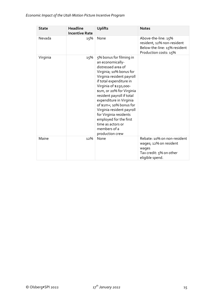| <b>State</b> | <b>Headline</b><br><b>Incentive Rate</b> | <b>Uplifts</b>                                                                                                                                                                                                                                                                                                                                                                                                                          | <b>Notes</b>                                                                                                 |
|--------------|------------------------------------------|-----------------------------------------------------------------------------------------------------------------------------------------------------------------------------------------------------------------------------------------------------------------------------------------------------------------------------------------------------------------------------------------------------------------------------------------|--------------------------------------------------------------------------------------------------------------|
| Nevada       | 15%                                      | None                                                                                                                                                                                                                                                                                                                                                                                                                                    | Above-the-line: 15%<br>resident, 12% non-resident<br>Below-the-line: 15% resident<br>Production costs: 15%   |
| Virginia     | 15%                                      | 5% bonus for filming in<br>an economically-<br>distressed area of<br>Virginia; 10% bonus for<br>Virginia resident payroll<br>if total expenditure in<br>Virginia of \$250,000-<br>\$1m, or 20% for Virginia<br>resident payroll if total<br>expenditure in Virginia<br>of \$1m+; 10% bonus for<br>Virginia resident payroll<br>for Virginia residents<br>employed for the first<br>time as actors or<br>members of a<br>production crew |                                                                                                              |
| Maine        | 12%                                      | None                                                                                                                                                                                                                                                                                                                                                                                                                                    | Rebate: 10% on non-resident<br>wages; 12% on resident<br>wages<br>Tax credit: 5% on other<br>eligible spend. |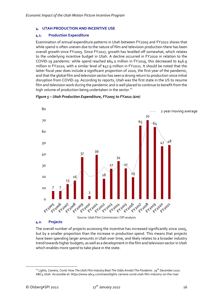## <span id="page-17-0"></span>**4. UTAH PRODUCTION AND INCENTIVE USE**

## <span id="page-17-1"></span>**4.1. Production Expenditure**

Examination of annual expenditure patterns in Utah between FY2005 and FY2021 shows that while spend is often uneven due to the nature of film and television production there has been overall growth since FY2005. Since FY2017, growth has levelled off somewhat, which relates to the underlying incentive budget in Utah. A decline occurred in FY2020 in relation to the COVID-19 pandemic: while spend reached \$64.0 million in FY2019, this decreased to \$46.9 million in FY2020, with a similar level of \$47.9 million in FY2021. It should be noted that the latter fiscal year does include a significant proportion of 2020, the first year of the pandemic, and that the global film and television sector has seen a strong return to production since initial disruption from COVID-19. According to reports, Utah was the first state in the US to resume film and television work during the pandemic and is well placed to continue to benefit from the high volume of production being undertaken in the sector.<sup>11</sup>



## *Figure 5 – Utah Production Expenditure, FY2005 to FY2021 (£m)*

#### <span id="page-17-2"></span>**4.2. Projects**

The overall number of projects accessing the incentive has increased significantly since 2005, but by a smaller proportion than the increase in production spend. This means that projects have been spending larger amounts in Utah over time, and likely relates to a broader industry trend towards higher budgets, as well as a development in the film and television sector in Utah which enables more spend to take place in the state.

<sup>11</sup> *Lights, Camera, Covid: How The Utah Film Industry Beat The Odds Amidst The Pandemic. 19th December 2020.* ABC4 Utah. Accessible at: https://www.abc4.com/news/lights-camera-covid-utah-film-industry-on-the-rise/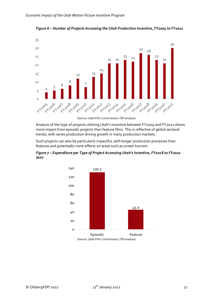

*Figure 6 – Number of Projects Accessing the Utah Production Incentive, FY2005 to FY2021*

Analysis of the type of projects utilizing Utah's incentive between FY2019 and FY2021 shows more impact from episodic projects than feature films. This is reflective of global sectoral trends, with series production driving growth in many production markets.

Such projects can also be particularly impactful, with longer production processes than features and potentially more effects on areas such as screen tourism.

*Figure 7 – Expenditure per Type of Project Accessing Utah's Incentive, FY2018 to FY2021 (\$m)*

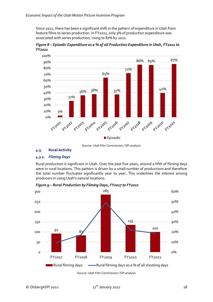Since 2011, there has been a significant shift in the pattern of expenditure in Utah from feature films to series production. In FY2011, only 3% of production expenditure was associated with series production, rising to 87% by 2021.

*Figure 8 – Episodic Expenditure as a % of all Production Expenditure in Utah, FY2011 to FY2021*



Source: Utah Film Commission / SPI analysis

# <span id="page-19-0"></span>**4.3. Rural Activity**

## *4.3.1. Filming Days*

Rural production is significant in Utah. Over the past five years, around a fifth of filming days were in rural locations. This pattern is driven by a small number of productions and therefore the total number fluctuates significantly year to year. This underlines the interest among producers in using Utah's natural locations.



*Figure 9 – Rural Production by Filming Days, FY2017 to FY2021*

Source: Utah Film Commission / SPI analysis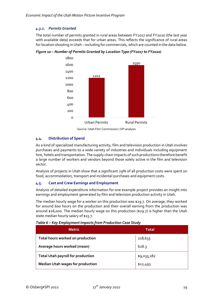# *4.3.2. Permits Granted*

The total number of permits granted in rural areas between FY2017 and FY2020 (the last year with available data) exceeds that for urban areas. This reflects the significance of rural areas for location shooting in Utah – including for commercials, which are counted in the data below.



*Figure 10 – Number of Permits Granted by Location Type (FY2017 to FY2020)*

# <span id="page-20-0"></span>**4.4. Distribution of Spend**

As a kind of specialized manufacturing activity, film and television production in Utah involves purchases and payments to a wide variety of industries and individuals including equipment hire, hotels and transportation. The supply chain impacts of such productions therefore benefit a large number of workers and vendors beyond those solely active in the film and television sector.

Analysis of projects in Utah show that a significant 29% of all production costs were spent on food, accommodation, transport and incidental purchases and equipment costs.

## <span id="page-20-1"></span>**4.5. Cast and Crew Earnings and Employment**

Analysis of detailed expenditure information for one example project provides an insight into earnings and employment generated by film and television production activity in Utah.

The median hourly wage for a worker on this production was \$29.7. On average, they worked for around 600 hours on the production and their overall earning from the production was around \$26,000. The median hourly wage on this production (\$29.7) is higher than the Utah state median hourly salary of \$15.7.

| <b>Metric</b>                            | <b>Total</b> |
|------------------------------------------|--------------|
| Total hours worked on production         | 218,633      |
| Average hours worked (mean)              | 628.3        |
| <b>Total Utah payroll for production</b> | \$9,035,182  |
| <b>Median Utah wages for production</b>  | \$12,493     |

*Table 6 – Key Employment Impacts from Production Case Study*

Source: Utah Film Commission / SPI analysis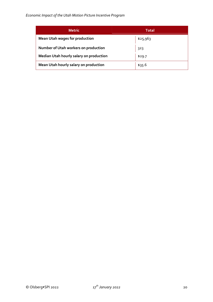| <b>Metric</b>                           | <b>Total</b> |
|-----------------------------------------|--------------|
| <b>Mean Utah wages for production</b>   | \$25,963     |
| Number of Utah workers on production    | 323          |
| Median Utah hourly salary on production | \$29.7       |
| Mean Utah hourly salary on production   | \$35.6       |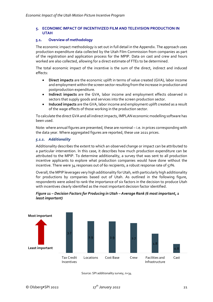## <span id="page-22-0"></span>**5. ECONOMIC IMPACT OF INCENTIVIZED FILM AND TELEVISION PRODUCTION IN UTAH**

## <span id="page-22-1"></span>**5.1. Overview of methodology**

The economic impact methodology is set out in full detail in the Appendix. The approach uses production expenditure data collected by the Utah Film Commission from companies as part of the registration and application process for the MPIP. Data on cast and crew and hours worked are also collected, allowing for a direct estimate of FTEs to be determined.

The total economic impact of the incentive is the sum of the direct, indirect and induced effects:

- **Direct impacts** are the economic uplift in terms of value created (GVA), labor income and employment within the screen sector resulting from the increase in production and postproduction expenditure.
- **Indirect impacts** are the GVA, labor income and employment effects observed in sectors that supply goods and services into the screen production sector.
- **Induced impacts** are the GVA, labor income and employment uplift created as a result of the wage effects of those working in the production sector.

To calculate the direct GVA and all indirect impacts, IMPLAN economic modelling software has been used.

Note: where annual figures are presented, these are nominal – i.e. in prices corresponding with the data year. Where aggregated figures are reported, these use 2021 prices.

## *5.1.1. Additionality*

Additionality describes the extent to which an observed change or impact can be attributed to a particular intervention. In this case, it describes how much production expenditure can be attributed to the MPIP. To determine additionality, a survey that was sent to all production incentive applicants to explore what production companies would have done without the incentive. There were  $34$  responses out of 60 recipients, a robust response rate of  $57\%$ .

Overall, the MPIP leverages very high additionality for Utah, with particularly high additionality for productions by companies based out of Utah. As outlined in the following figure, respondents were asked to rank the importance of six factors in the decision to produce Utah with incentives clearly identified as the most important decision factor identified.



## *Figure 11 – Decision Factors for Producing in Utah – Average Rank (6 most important, 1 least important)*

Source: SPI additionality survey, n=34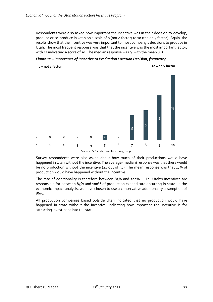Respondents were also asked how important the incentive was in their decision to develop, produce or co-produce in Utah on a scale of 0 (not a factor) to 10 (the only factor). Again, the results show that the incentive was very important to most company's decisions to produce in Utah. The most frequent response was that that the incentive was the most important factor, with 13 indicating a score of 10. The median response was 9, with the mean 8.8.

*Figure 12 – Importance of Incentive to Production Location Decision, frequency*



Source: SPI additionality survey, n= 34

Survey respondents were also asked about how much of their productions would have happened in Utah without the incentive. The average (median) response was that there would be no production without the incentive (21 out of 34). The mean response was that 17% of production would have happened without the incentive.

The rate of additionality is therefore between 83% and 100% — i.e. Utah's incentives are responsible for between 83% and 100% of production expenditure occurring in state. In the economic impact analysis, we have chosen to use a conservative additionality assumption of 86%.

All production companies based outside Utah indicated that no production would have happened in state without the incentive, indicating how important the incentive is for attracting investment into the state.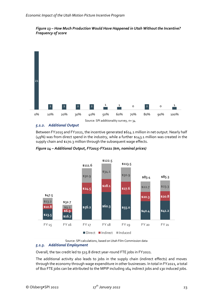



## *5.1.2. Additional Output*

Between FY2015 and FY2021, the incentive generated \$614.1 million in net output. Nearly half (49%) was from direct spend in the industry, while a further \$143.1 million was created in the supply chain and \$170.3 million through the subsequent wage effects.



*Figure 14 – Additional Output, FY2015-FY2021 (\$m, nominal prices)*

Source: SPI calculations, based on Utah Film Commission data

# *5.1.3. Additional Employment*

Overall, the tax credit led to 515.8 direct year-round FTE jobs in FY2021.

The additional activity also leads to jobs in the supply chain (indirect effects) and moves through the economy through wage expenditure in other businesses. In total in FY2021, a total of 810 FTE jobs can be attributed to the MPIP including 164 indirect jobs and 130 induced jobs.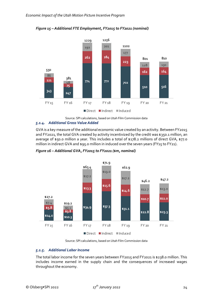

*Figure 15 – Additional FTE Employment, FY2015 to FY2021 (nominal)*

Source: SPI calculations, based on Utah Film Commission data *5.1.4. Additional Gross Value Added*

GVA is a key measure of the additional economic value created by an activity. Between FY2015 and FY2021, the total GVA created by activity incentivized by the credit was \$350.1 million, an average of \$50.0 million a year. This includes a total of \$178.2 millions of direct GVA, \$77.0 million in indirect GVA and \$95.0 million in induced over the seven years (FY15 to FY21).



*Figure 16 – Additional GVA, FY2015 to FY2021 (\$m, nominal)*

Source: SPI calculations, based on Utah Film Commission data

# *5.1.5. Additional Labor Income*

The total labor income for the seven years between FY2015 and FY2021 is \$238.0 million. This includes income earned in the supply chain and the consequences of increased wages throughout the economy.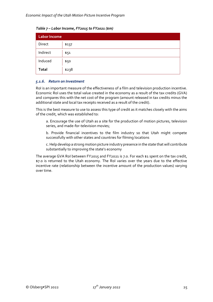*Table 7 – Labor Income, FY2015 to FY2021 (\$m)*

| <b>Labor Income</b> |       |  |  |  |
|---------------------|-------|--|--|--|
| Direct              | \$137 |  |  |  |
| Indirect            | \$51  |  |  |  |
| Induced             | \$50  |  |  |  |
| Total               | \$238 |  |  |  |

## *5.1.6. Return on Investment*

RoI is an important measure of the effectiveness of a film and television production incentive. Economic RoI uses the total value created in the economy as a result of the tax credits (GVA) and compares this with the net cost of the program (amount released in tax credits minus the additional state and local tax receipts received as a result of the credit).

This is the best measure to use to assess this type of credit as it matches closely with the aims of the credit, which was established to:

a. Encourage the use of Utah as a site for the production of motion pictures, television series, and made-for-television movies;

b. Provide financial incentives to the film industry so that Utah might compete successfully with other states and countries for filming locations

c. Help develop a strong motion picture industry presence in the state that will contribute substantially to improving the state's economy

The average GVA RoI between FY2015 and FY2021 is 7.0. For each \$1 spent on the tax credit, \$7.0 is returned to the Utah economy. The RoI varies over the years due to the effective incentive rate (relationship between the incentive amount of the production values) varying over time.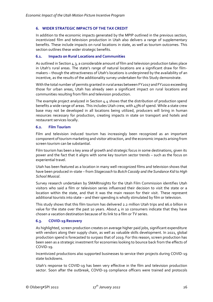## <span id="page-27-0"></span>**6. WIDER STRATEGIC IMPACTS OF THE TAX CREDIT**

In addition to the economic impacts generated by the MPIP outlined in the previous section, incentivized film and television production in Utah also delivers a range of supplementary benefits. These include impacts on rural locations in state, as well as tourism outcomes. This section outlines these wider strategic benefits.

## <span id="page-27-1"></span>**6.1. Impacts on Rural Locations and Communities**

As outlined in Sectio[n 4.3,](#page-19-0) a considerable amount of film and television production takes place in Utah's rural areas. The state's range of natural locations are a significant draw for filmmakers – though the attractiveness of Utah's locations is underpinned by the availability of an incentive, as the results of the additionality survey undertaken for this Study demonstrate.

With the total number of permits granted in rural areas between FY2017 and FY2020 exceeding those for urban areas, Utah has already seen a significant impact on rural locations and communities resulting from film and television production.

The example project analyzed in Section [4.4](#page-20-0) shows that the distribution of production spend benefits a wide range of areas. This includes Utah crew, with 43% of spend. While a state crew base may not be developed in all locations being utilized, producers will bring in human resources necessary for production, creating impacts in state on transport and hotels and restaurant services locally.

## <span id="page-27-2"></span>**6.2. Film Tourism**

Film and television induced tourism has increasingly been recognized as an important component of tourism marketing and visitor attraction, and the economic impacts arising from screen tourism can be substantial.

Film tourism has been a key area of growth and strategic focus in some destinations, given its power and the fact that it aligns with some key tourism sector trends – such as the focus on experiential travel.

Utah has been featured as a location in many well-recognized films and television shows that have been produced in-state – from *Stagecoach* to *Butch Cassidy and the Sundance Kid* to *High School Musical*.

Survey research undertaken by SMARInsights for the Utah Film Commission identifies Utah visitors who said a film or television series influenced their decision to visit the state or a location within the state, and that it was the main reason for their visit. These represent additional tourists into state – and their spending is wholly stimulated by film or television.

This study shows that this film tourism has delivered 2.2 million Utah trips and \$6.0 billion in value for the state over the past 10 years. About  $4$  in 10 consumers indicate that they have chosen a vacation destination because of its link to a film or TV series.

## <span id="page-27-3"></span>**6.3. COVID-19 Recovery**

As highlighted, screen production creates on average higher paid jobs, significant expenditure with vendors along their supply chain, as well as valuable skills development. In 2021, global production spend is forecasted to surpass that of 2019. For this reason, screen production has been seen as a strategic investment for economies looking to bounce back from the effects of COVID-19.

Incentivized productions also supported businesses to service their projects during COVID-19 state lockdowns.

Utah's response to COVID-19 has been very effective in the film and television production sector. Soon after the outbreak, COVID-19 compliance officers were trained and protocols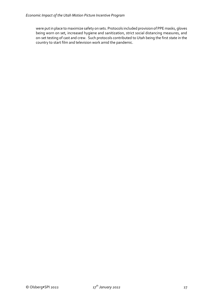were put in place to maximize safety on sets. Protocols included provision of PPE masks, gloves being worn on set, increased hygiene and sanitization, strict social distancing measures, and on-set testing of cast and crew. Such protocols contributed to Utah being the first state in the country to start film and television work amid the pandemic.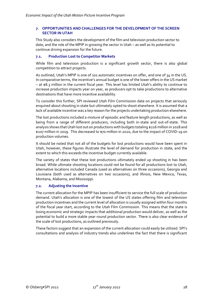## <span id="page-29-0"></span>**7. OPPORTUNITIES AND CHALLENGES FOR THE DEVELOPMENT OF THE SCREEN SECTOR IN UTAH**

This Study also considers the development of the film and television production sector to date, and the role of the MPIP in growing the sector in Utah – as well as its potential to continue driving expansion for the future.

## <span id="page-29-1"></span>**7.1. Production Lost to Competitor Markets**

While film and television production is a significant growth sector, there is also global competition to attract projects.

As outlined, Utah's MPIP is one of 101 automatic incentives on offer, and one of 34 in the US. In comparative terms, the incentive's annual budget is one of the lower offers in the US market – at \$8.3 million in the current fiscal year. This level has limited Utah's ability to continue to increase production impacts year on year, as producers opt to take productions to alternative destinations that have more incentive availability.

To consider this further, SPI reviewed Utah Film Commission data on projects that seriously enquired about shooting in state but ultimately opted to shoot elsewhere. It is assumed that a lack of available incentive was a key reason for the projects undertaking production elsewhere.

The lost productions included a mixture of episodic and feature length productions, as well as being from a range of different producers, including both in-state and out-of-state. This analysis shows that Utah lost out on productions with budgets totaling \$216 million in 2018 and \$207 million in 2019. This decreased to \$70 million in 2020, due to the impact of COVID-19 on production volumes.

It should be noted that not all of the budgets for lost productions would have been spent in Utah, however, these figures illustrate the level of demand for production in state, and the extent to which this exceeds the incentive budget currently available.

The variety of states that these lost productions ultimately ended up shooting in has been broad. While ultimate shooting locations could not be found for all productions lost to Utah, alternative locations included Canada (used as alternatives on three occasions), Georgia and Louisiana (both used as alternatives on two occasions), and Illinois, New Mexico, Texas, Montana, Alabama, and Mississippi.

## <span id="page-29-2"></span>**7.2. Adjusting the Incentive**

The current allocation for the MPIP has been insufficient to service the full scale of production demand. Utah's allocation is one of the lowest of the US states offering film and television production incentives and the current level of allocation is usually assigned within four months of the fiscal year start, according to the Utah Film Commission. This means that the state is losing economic and strategic impacts that additional production would deliver, as well as the potential to build a more stable year-round production sector. There is also clear evidence of the scale of lost productions, as outlined previously.

These factors suggest that an expansion of the current allocation could easily be utilized. SPI's consultations and analysis of industry trends also underlines the fact that there is significant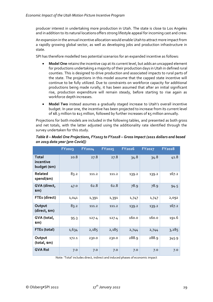producer interest in undertaking more production in Utah. The state is close to Los Angeles and in addition to its natural locations offers strong lifestyle appeal for incoming cast and crew.

An expansion in the annual incentive allocation would enable Utah to attract more impact from a rapidly growing global sector, as well as developing jobs and production infrastructure in state.

SPI has therefore modelled two potential scenarios for an expanded incentive as follows:

- **Model One** retains the incentive cap at its current level, but adds an uncapped element for productions undertaking a majority of their production days in Utah in defined rural counties. This is designed to drive production and associated impacts to rural parts of the state. The projections in this model assume that the capped state incentive will continue to be fully utilized. Due to constraints on workforce capacity for additional productions being made rurally, it has been assumed that after an initial significant rise, production expenditure will remain steady, before starting to rise again as workforce depth increases.
- **Model Two** instead assumes a gradually staged increase to Utah's overall incentive budget. In year one, the incentive has been projected to increase from its current level of  $$8.3$  million to  $$15$  million, followed by further increases of  $$5$  million annually.

Projections for both models are included in the following tables, and presented as both gross and net totals, with the latter adjusted using the additionality rate identified through the survey undertaken for this study.

|                                           | <b>FY2023</b> | <b>FY2024</b> | <b>FY2025</b> | <b>FY2026</b> | <b>FY2027</b> | <b>FY2028</b> |
|-------------------------------------------|---------------|---------------|---------------|---------------|---------------|---------------|
| <b>Total</b><br>incentive<br>budget (\$m) | 20.8          | 27.8          | 27.8          | 34.8          | 34.8          | 41.8          |
| Related<br>spend(\$m)                     | 83.2          | 111.2         | 111.2         | 139.2         | 139.2         | 167.2         |
| GVA (direct,<br>\$m)                      | 47.0          | 62.8          | 62.8          | 78.9          | 78.9          | 94.5          |
| FTEs (direct)                             | 1,041         | 1,391         | 1,391         | 1,747         | 1,747         | 2,092         |
| Output<br>(direct, \$m)                   | 83.2          | 111.2         | 111.2         | 139.2         | 139.2         | 167.2         |
| GVA (total,<br>\$m)                       | 95.3          | 127.4         | 127.4         | 160.0         | 160.0         | 191.6         |
| FTEs (total)                              | 1,634         | 2,185         | 2,185         | 2,744         | 2,744         | 3,285         |
| Output<br>(total, \$m)                    | 172.1         | 230.0         | 230.0         | 288.9         | 288.9         | 345.9         |
| <b>GVA Rol</b>                            | 7.0           | 7.0           | 7.0           | 7.0           | 7.0           | 7.0           |

# *Table 8 – Model One Projections, FY2023 to FY2028 – Gross Impact (2021 dollars and based on 2019 data year [pre-Covid])*

Note: 'Total' includes direct, indirect and induced phases of economic impact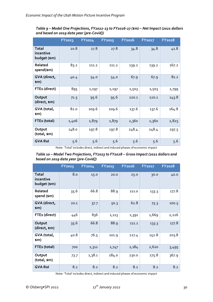|                                           | <b>FY2023</b> | FY2024 | <b>FY2025</b> | <b>FY2026</b> | <b>FY2027</b> | <b>FY2028</b> |
|-------------------------------------------|---------------|--------|---------------|---------------|---------------|---------------|
| <b>Total</b><br>incentive<br>budget (\$m) | 20.8          | 27.8   | 27.8          | 34.8          | 34.8          | 41.8          |
| Related<br>spend(\$m)                     | 83.2          | 111.2  | 111.2         | 139.2         | 139.2         | 167.2         |
| GVA (direct,<br>\$m)                      | 40.4          | 54.0   | 54.0          | 67.9          | 67.9          | 81.2          |
| FTEs (direct)                             | 895           | 1,197  | 1,197         | 1,503         | 1,503         | 1,799         |
| Output<br>(direct, \$m)                   | 71.5          | 95.6   | 95.6          | 120.1         | 120.1         | 143.8         |
| GVA (total,<br>\$M)                       | 82.0          | 109.6  | 109.6         | 137.6         | 137.6         | 164.8         |
| FTEs (total)                              | 1,406         | 1,879  | 1,879         | 2,360         | 2,360         | 2,825         |
| Output<br>(total, \$m)                    | 148.0         | 197.8  | 197.8         | 248.4         | 248.4         | 297.5         |
| <b>GVA Rol</b>                            | 5.6           | 5.6    | 5.6           | 5.6           | 5.6           | 5.6           |

*Table 9 – Model One Projections, FY2022-23 to FY2026-27 (\$m) – Net Impact (2021 dollars and based on 2019 data year [pre-Covid])*

Note: 'Total' includes direct, indirect and induced phases of economic impact

*Table 10 – Model Two Projections, FY2023 to FY2028 – Gross Impact (2021 dollars and based on 2019 data year [pre-Covid])*

|                                           | <b>FY2023</b> | FY2024 | <b>FY2025</b> | <b>FY2026</b> | <b>FY2027</b> | <b>FY2028</b> |
|-------------------------------------------|---------------|--------|---------------|---------------|---------------|---------------|
| <b>Total</b><br>incentive<br>budget (\$m) | 8.0           | 15.0   | 20.0          | 25.0          | 30.0          | 40.0          |
| Related<br>spend (\$m)                    | 35.6          | 66.8   | 88.9          | 111.0         | 133.3         | 177.8         |
| GVA (direct,<br>sm)                       | 20.1          | 37.7   | 50.3          | 62.8          | 75.3          | 100.5         |
| FTEs (direct)                             | 446           | 836    | 1,113         | 1,391         | 1,669         | 2,226         |
| Output<br>(direct, \$m)                   | 35.6          | 66.8   | 88.9          | 111.1         | 133.3         | 177.8         |
| GVA (total,<br>sm)                        | 40.8          | 76.5   | 101.9         | 127.4         | 152.8         | 203.8         |
| FTEs (total)                              | 700           | 1,312  | 1,747         | 2,184         | 2,620         | 3,495         |
| Output<br>(total, \$m)                    | 73.7          | 1,38.1 | 184.0         | 230.0         | 275.8         | 367.9         |
| <b>GVA Rol</b>                            | 8.2           | 8.2    | 8.2           | 8.2           | 8.2           | 8.2           |

Note: 'Total' includes direct, indirect and induced phases of economic impact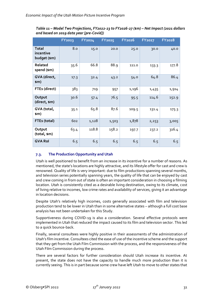|                                           | <b>FY2023</b> | FY2024 | <b>FY2025</b> | <b>FY2026</b> | <b>FY2027</b> | <b>FY2028</b> |
|-------------------------------------------|---------------|--------|---------------|---------------|---------------|---------------|
| <b>Total</b><br>incentive<br>budget (\$m) | 8.0           | 15.0   | 20.0          | 25.0          | 30.0          | 40.0          |
| Related<br>spend (\$m)                    | 35.6          | 66.8   | 88.9          | 111.0         | 133.3         | 177.8         |
| GVA (direct,<br>sm)                       | 17.3          | 32.4   | 43.2          | 54.0          | 64.8          | 86.4          |
| FTEs (direct)                             | 383           | 719    | 957           | 1,196         | 1,435         | 1,914         |
| Output<br>(direct, \$m)                   | 30.6          | 57.4   | 76.5          | 95.5          | 114.6         | 152.9         |
| GVA (total,<br>\$m)                       | 35.1          | 65.8   | 87.6          | 109.5         | 131.4         | 175.3         |
| FTEs (total)                              | 602           | 1,128  | 1,503         | 1,878         | 2,253         | 3,005         |
| Output<br>(total, \$m)                    | 63.4          | 118.8  | 158.2         | 197.7         | 237.2         | 316.4         |
| <b>GVA Rol</b>                            | 6.5           | 6.5    | 6.5           | 6.5           | 6.5           | 6.5           |

*Table 11 – Model Two Projections, FY2022-23 to FY2026-27 (\$m) – Net Impact (2021 dollars and based on 2019 data year [pre-Covid])*

# <span id="page-32-0"></span>**7.3. The Production Opportunity and Utah**

Utah is well positioned to benefit from an increase in its incentive for a number of reasons. As mentioned, the state's locations are highly attractive, and its lifestyle offer for cast and crew is renowned. Quality of life is very important: due to film productions spanning several months, and television series potentially spanning years, the quality of life that can be enjoyed by cast and crew coming in from out of state is often an important consideration in choosing a filming location. Utah is consistently cited as a desirable living destination, owing to its climate, cost of living relative to incomes, low crime rates and availability of services, giving it an advantage in location decisions.

Despite Utah's relatively high incomes, costs generally associated with film and television production tend to be lower in Utah than in some alternative states – although a full cost base analysis has not been undertaken for this Study.

Supportiveness during COVID-19 is also a consideration. Several effective protocols were implemented in Utah that reduced the impact caused to its film and television sector. This led to a quick bounce-back.

Finally, several consultees were highly positive in their assessments of the administration of Utah's film incentive. Consultees cited the ease of use of the incentive scheme and the support that they get from the Utah Film Commission with the process, and the responsiveness of the Utah Film Commission during the process.

There are several factors for further consideration should Utah increase its incentive. At present, the state does not have the capacity to handle much more production than it is currently seeing. This is in part because some crew have left Utah to move to other states that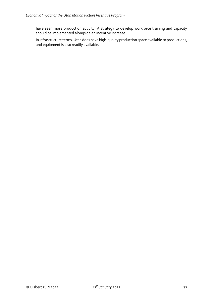have seen more production activity. A strategy to develop workforce training and capacity should be implemented alongside an incentive increase.

In infrastructure terms, Utah does have high-quality production space available to productions, and equipment is also readily available.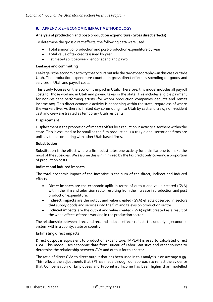## <span id="page-34-0"></span>**8. APPENDIX 1 – ECONOMIC IMPACT METHODOLOGY**

#### **Analysis of production and post-production expenditure (Gross direct effects)**

To determine the gross direct effects, the following data were used:

- Total amount of production and post-production expenditure by year.
- Total value of tax credits issued by year.
- Estimated split between vendor spend and payroll.

#### **Leakage and commuting**

Leakage is the economic activity that occurs outside the target geography – in this case outside Utah. The production expenditure counted in gross direct effects is spending on goods and services in Utah and payroll costs.

This Study focuses on the economic impact in Utah. Therefore, this model includes all payroll costs for those working in Utah and paying taxes in the state. This includes eligible payment for non-resident performing artists (for whom production companies deducts and remits income tax). This direct economic activity is happening within the state, regardless of where the workers live. As there is limited day commuting into Utah by cast and crew, non-resident cast and crew are treated as temporary Utah residents.

#### **Displacement**

Displacement is the proportion of impacts offset by a reduction in activity elsewhere within the state. This is assumed to be small as the film production is a truly global sector and firms are unlikely to be competing with other Utah based firms.

### **Substitution**

Substitution is the effect where a firm substitutes one activity for a similar one to make the most of the subsidies. We assume this is minimized by the tax credit only covering a proportion of production costs.

### **Indirect and induced impacts**

The total economic impact of the incentive is the sum of the direct, indirect and induced effects.

- **Direct impacts** are the economic uplift in terms of output and value created (GVA) within the film and television sector resulting from the increase in production and post production expenditure.
- **Indirect impacts** are the output and value created (GVA) effects observed in sectors that supply goods and services into the film and television production sector.
- **Induced impacts** are the output and value created (GVA) uplift created as a result of the wage effects of those working in the production sector.

The relationship between direct, indirect and induced effects reflects the underlying economic system within a county, state or country.

#### **Estimating direct impacts**

**Direct output** is equivalent to production expenditure. IMPLAN is used to calculated **direct GVA**. This model uses economic data from Bureau of Labor Statistics and other sources to determine the relationship between GVA and output for this sector.

The ratio of direct GVA to direct output that has been used in this analysis is on average 0.59. This reflects the adjustments that SPI has made through our approach to reflect the evidence that Compensation of Employees and Proprietary Income has been higher than modelled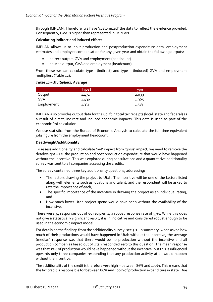through IMPLAN. Therefore, we have 'customized' the data to reflect the evidence provided. Consequently, GVA is higher than represented in IMPLAN.

# **Calculating indirect and induced effects**

IMPLAN allows us to input production and postproduction expenditure data, employment estimates and employee compensation for any given year and obtain the following outputs:

- Indirect output, GVA and employment (headcount)
- Induced output, GVA and employment (headcount)

From these we can calculate type I (indirect) and type II (induced) GVA and employment multipliers (Table 12).

## *Table 12 – Multipliers, Average*

|            | <b>Type N</b> | Type II <sup>'</sup> |
|------------|---------------|----------------------|
| Output     | 1.472         | 2.039                |
| GVA        | 1.430         | 1.965                |
| Employment | 1.331         | 1.581                |

IMPLAN also provides output data for the uplift in total tax receipts (local, state and federal) as a result of direct, indirect and induced economic impacts. This data is used as part of the economic RoI calculation.

We use statistics from the Bureau of Economic Analysis to calculate the full-time equivalent jobs figure from the employment headcount.

## **Deadweight/additionality**

To assess additionality and calculate 'net' impact from 'gross' impact, we need to remove the deadweight – i.e. the production and post production expenditure that would have happened without the incentive. This was explored during consultations and a quantitative additionality survey was sent to all companies accessing the credits.

The survey contained three key additionality questions, addressing:

- The factors drawing the project to Utah. The incentive will be one of the factors listed along with elements such as locations and talent, and the respondent will be asked to rate the importance of each;
- The specific importance of the incentive in drawing the project as an individual rating; and
- How much lower Utah project spend would have been without the availability of the incentive.

There were 34 responses out of 60 recipients, a robust response rate of 57%. While this does not give a statistically significant result, it is in indicative and considered robust enough to be used in the economic impact model.

For details on the findings from the additionality survey, see 5.1. In summary, when asked how much of their productions would have happened in Utah without the incentive, the average (median) response was that there would be no production without the incentive and all production companies based out of Utah responded zero to this question. The mean response was that 17% of production would have happened without the incentive, but this is influenced upwards only three companies responding that any production activity at all would happen without the incentive.

The additionality of the credit is therefore very high – between 86% and 100%. This means that the tax credit is responsible for between 86% and 100% of production expenditure in state. Due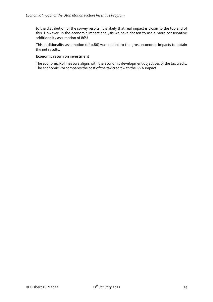to the distribution of the survey results, it is likely that real impact is closer to the top end of this. However, in the economic impact analysis we have chosen to use a more conservative additionality assumption of 86%.

This additionality assumption (of 0.86) was applied to the gross economic impacts to obtain the net results.

### **Economic return on investment**

The economic RoI measure aligns with the economic development objectives of the tax credit. The economic RoI compares the cost of the tax credit with the GVA impact.